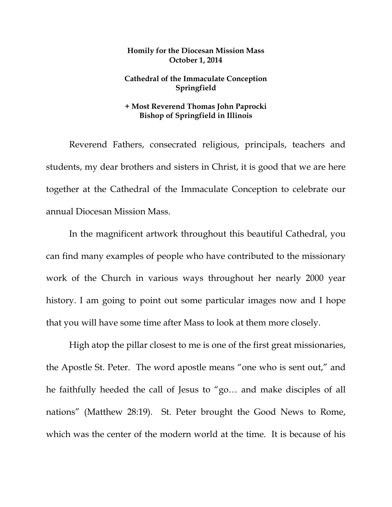## **Homily for the Diocesan Mission Mass October 1, 2014**

## **Cathedral of the Immaculate Conception Springfield**

## **+ Most Reverend Thomas John Paprocki Bishop of Springfield in Illinois**

 Reverend Fathers, consecrated religious, principals, teachers and students, my dear brothers and sisters in Christ, it is good that we are here together at the Cathedral of the Immaculate Conception to celebrate our annual Diocesan Mission Mass.

 In the magnificent artwork throughout this beautiful Cathedral, you can find many examples of people who have contributed to the missionary work of the Church in various ways throughout her nearly 2000 year history. I am going to point out some particular images now and I hope that you will have some time after Mass to look at them more closely.

High atop the pillar closest to me is one of the first great missionaries, the Apostle St. Peter. The word apostle means "one who is sent out," and he faithfully heeded the call of Jesus to "go… and make disciples of all nations" (Matthew 28:19). St. Peter brought the Good News to Rome, which was the center of the modern world at the time. It is because of his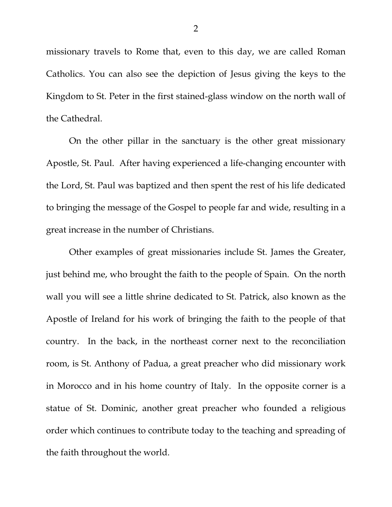missionary travels to Rome that, even to this day, we are called Roman Catholics. You can also see the depiction of Jesus giving the keys to the Kingdom to St. Peter in the first stained-glass window on the north wall of the Cathedral.

 On the other pillar in the sanctuary is the other great missionary Apostle, St. Paul. After having experienced a life-changing encounter with the Lord, St. Paul was baptized and then spent the rest of his life dedicated to bringing the message of the Gospel to people far and wide, resulting in a great increase in the number of Christians.

 Other examples of great missionaries include St. James the Greater, just behind me, who brought the faith to the people of Spain. On the north wall you will see a little shrine dedicated to St. Patrick, also known as the Apostle of Ireland for his work of bringing the faith to the people of that country. In the back, in the northeast corner next to the reconciliation room, is St. Anthony of Padua, a great preacher who did missionary work in Morocco and in his home country of Italy. In the opposite corner is a statue of St. Dominic, another great preacher who founded a religious order which continues to contribute today to the teaching and spreading of the faith throughout the world.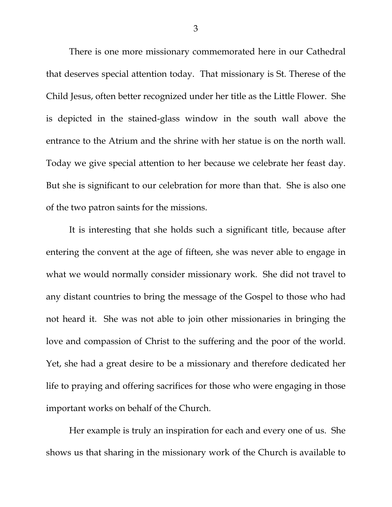There is one more missionary commemorated here in our Cathedral that deserves special attention today. That missionary is St. Therese of the Child Jesus, often better recognized under her title as the Little Flower. She is depicted in the stained-glass window in the south wall above the entrance to the Atrium and the shrine with her statue is on the north wall. Today we give special attention to her because we celebrate her feast day. But she is significant to our celebration for more than that. She is also one of the two patron saints for the missions.

 It is interesting that she holds such a significant title, because after entering the convent at the age of fifteen, she was never able to engage in what we would normally consider missionary work. She did not travel to any distant countries to bring the message of the Gospel to those who had not heard it. She was not able to join other missionaries in bringing the love and compassion of Christ to the suffering and the poor of the world. Yet, she had a great desire to be a missionary and therefore dedicated her life to praying and offering sacrifices for those who were engaging in those important works on behalf of the Church.

 Her example is truly an inspiration for each and every one of us. She shows us that sharing in the missionary work of the Church is available to

3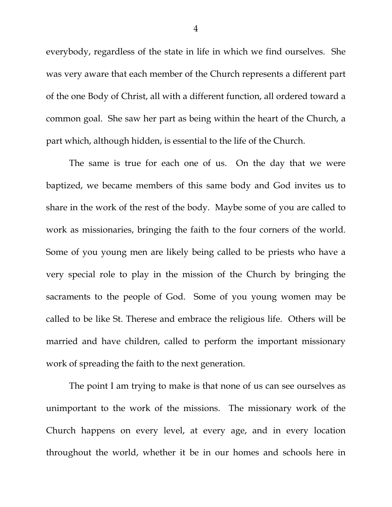everybody, regardless of the state in life in which we find ourselves. She was very aware that each member of the Church represents a different part of the one Body of Christ, all with a different function, all ordered toward a common goal. She saw her part as being within the heart of the Church, a part which, although hidden, is essential to the life of the Church.

 The same is true for each one of us. On the day that we were baptized, we became members of this same body and God invites us to share in the work of the rest of the body. Maybe some of you are called to work as missionaries, bringing the faith to the four corners of the world. Some of you young men are likely being called to be priests who have a very special role to play in the mission of the Church by bringing the sacraments to the people of God. Some of you young women may be called to be like St. Therese and embrace the religious life. Others will be married and have children, called to perform the important missionary work of spreading the faith to the next generation.

 The point I am trying to make is that none of us can see ourselves as unimportant to the work of the missions. The missionary work of the Church happens on every level, at every age, and in every location throughout the world, whether it be in our homes and schools here in

4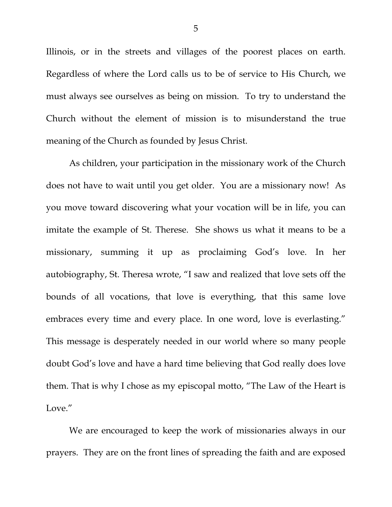Illinois, or in the streets and villages of the poorest places on earth. Regardless of where the Lord calls us to be of service to His Church, we must always see ourselves as being on mission. To try to understand the Church without the element of mission is to misunderstand the true meaning of the Church as founded by Jesus Christ.

 As children, your participation in the missionary work of the Church does not have to wait until you get older. You are a missionary now! As you move toward discovering what your vocation will be in life, you can imitate the example of St. Therese. She shows us what it means to be a missionary, summing it up as proclaiming God's love. In her autobiography, St. Theresa wrote, "I saw and realized that love sets off the bounds of all vocations, that love is everything, that this same love embraces every time and every place. In one word, love is everlasting." This message is desperately needed in our world where so many people doubt God's love and have a hard time believing that God really does love them. That is why I chose as my episcopal motto, "The Law of the Heart is Love."

We are encouraged to keep the work of missionaries always in our prayers. They are on the front lines of spreading the faith and are exposed

5